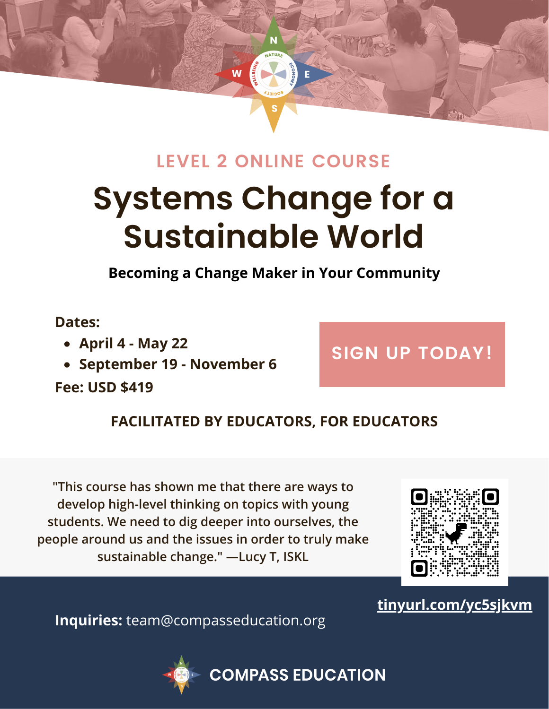

## **LEVEL 2 ONLINE COURSE**

# **Systems Change for a [Sustainable](https://compasseducation.org/compass-education-level-2-online-course/) World**

**Becoming a Change Maker in Your Community**

### **Dates:**

- **April 4 - May 22**
- **September 19 - November 6**

**Fee: USD \$419**

# **SIGN UP [TODAY!](https://compasseducation.org/compass-education-level-2-online-course/)**

### **FACILITATED BY EDUCATORS, FOR EDUCATORS**

**"This course has shown me that there are ways to develop high-level thinking on topics with young students. We need to dig deeper into ourselves, the people around us and the issues in order to truly make sustainable change." —Lucy T, ISKL**



**[tinyurl.com/yc5sjkvm](https://compasseducation.org/compass-education-level-2-online-course/)**

**Inquiries:** team@compasseducation.org